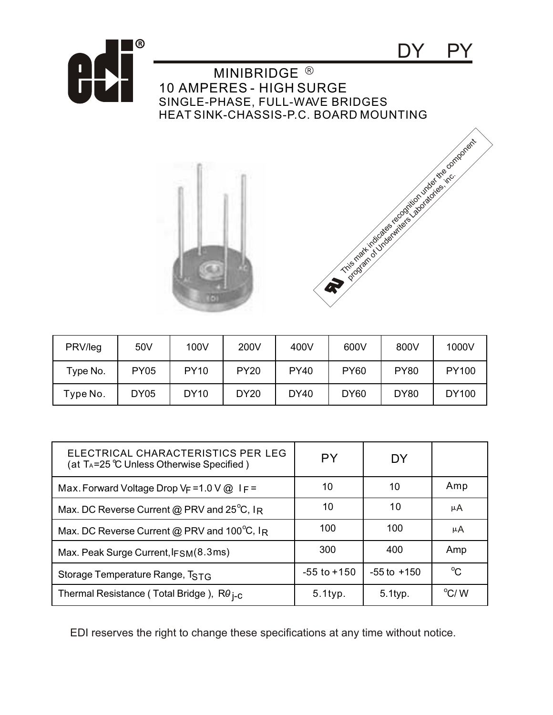

| PRV/leg  | 50V         | 100V        | 200V        | 400V        | 600V        | 800V        | 1000V        |
|----------|-------------|-------------|-------------|-------------|-------------|-------------|--------------|
| Type No. | <b>PY05</b> | <b>PY10</b> | <b>PY20</b> | <b>PY40</b> | <b>PY60</b> | <b>PY80</b> | <b>PY100</b> |
| Type No. | <b>DY05</b> | <b>DY10</b> | <b>DY20</b> | <b>DY40</b> | <b>DY60</b> | <b>DY80</b> | <b>DY100</b> |

| ELECTRICAL CHARACTERISTICS PER LEG<br>(at $T_A = 25$ °C Unless Otherwise Specified) | PY              | DY              |               |
|-------------------------------------------------------------------------------------|-----------------|-----------------|---------------|
| Max. Forward Voltage Drop $V_F = 1.0 V @$ I $F =$                                   | 10              | 10              | Amp           |
| Max. DC Reverse Current @ PRV and $25^{\circ}$ C, IR                                | 10              | 10              | μA            |
| Max. DC Reverse Current @ PRV and 100°C, IR                                         | 100             | 100             | μA            |
| Max. Peak Surge Current, IFSM(8.3ms)                                                | 300             | 400             | Amp           |
| Storage Temperature Range, TSTG                                                     | $-55$ to $+150$ | $-55$ to $+150$ | $^{\circ}C$   |
| Thermal Resistance (Total Bridge), R0 <sub>1-C</sub>                                | $5.1$ typ.      | 5.1typ.         | $\rm ^{o}C/M$ |

EDI reserves the right to change these specifications at any time without notice.